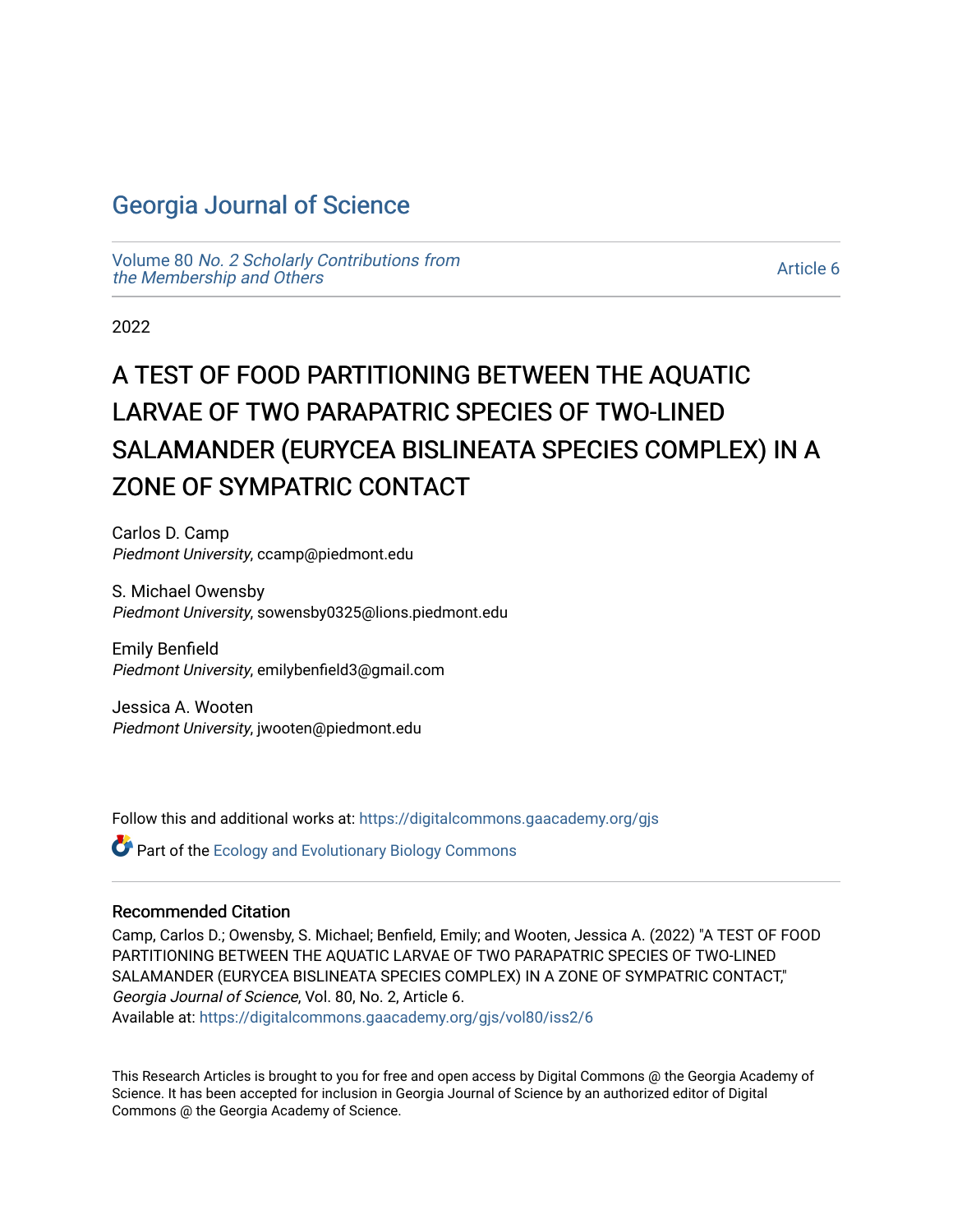# [Georgia Journal of Science](https://digitalcommons.gaacademy.org/gjs)

Volume 80 [No. 2 Scholarly Contributions from](https://digitalcommons.gaacademy.org/gjs/vol80) [the Membership and Others](https://digitalcommons.gaacademy.org/gjs/vol80) 

[Article 6](https://digitalcommons.gaacademy.org/gjs/vol80/iss2/6) 

2022

# A TEST OF FOOD PARTITIONING BETWEEN THE AQUATIC LARVAE OF TWO PARAPATRIC SPECIES OF TWO-LINED SALAMANDER (EURYCEA BISLINEATA SPECIES COMPLEX) IN A ZONE OF SYMPATRIC CONTACT

Carlos D. Camp Piedmont University, ccamp@piedmont.edu

S. Michael Owensby Piedmont University, sowensby0325@lions.piedmont.edu

Emily Benfield Piedmont University, emilybenfield3@gmail.com

Jessica A. Wooten Piedmont University, jwooten@piedmont.edu

Follow this and additional works at: [https://digitalcommons.gaacademy.org/gjs](https://digitalcommons.gaacademy.org/gjs?utm_source=digitalcommons.gaacademy.org%2Fgjs%2Fvol80%2Fiss2%2F6&utm_medium=PDF&utm_campaign=PDFCoverPages) 

 $\bullet$  Part of the [Ecology and Evolutionary Biology Commons](https://network.bepress.com/hgg/discipline/14?utm_source=digitalcommons.gaacademy.org%2Fgjs%2Fvol80%2Fiss2%2F6&utm_medium=PDF&utm_campaign=PDFCoverPages)

#### Recommended Citation

Camp, Carlos D.; Owensby, S. Michael; Benfield, Emily; and Wooten, Jessica A. (2022) "A TEST OF FOOD PARTITIONING BETWEEN THE AQUATIC LARVAE OF TWO PARAPATRIC SPECIES OF TWO-LINED SALAMANDER (EURYCEA BISLINEATA SPECIES COMPLEX) IN A ZONE OF SYMPATRIC CONTACT," Georgia Journal of Science, Vol. 80, No. 2, Article 6. Available at: [https://digitalcommons.gaacademy.org/gjs/vol80/iss2/6](https://digitalcommons.gaacademy.org/gjs/vol80/iss2/6?utm_source=digitalcommons.gaacademy.org%2Fgjs%2Fvol80%2Fiss2%2F6&utm_medium=PDF&utm_campaign=PDFCoverPages)

This Research Articles is brought to you for free and open access by Digital Commons @ the Georgia Academy of Science. It has been accepted for inclusion in Georgia Journal of Science by an authorized editor of Digital Commons @ the Georgia Academy of Science.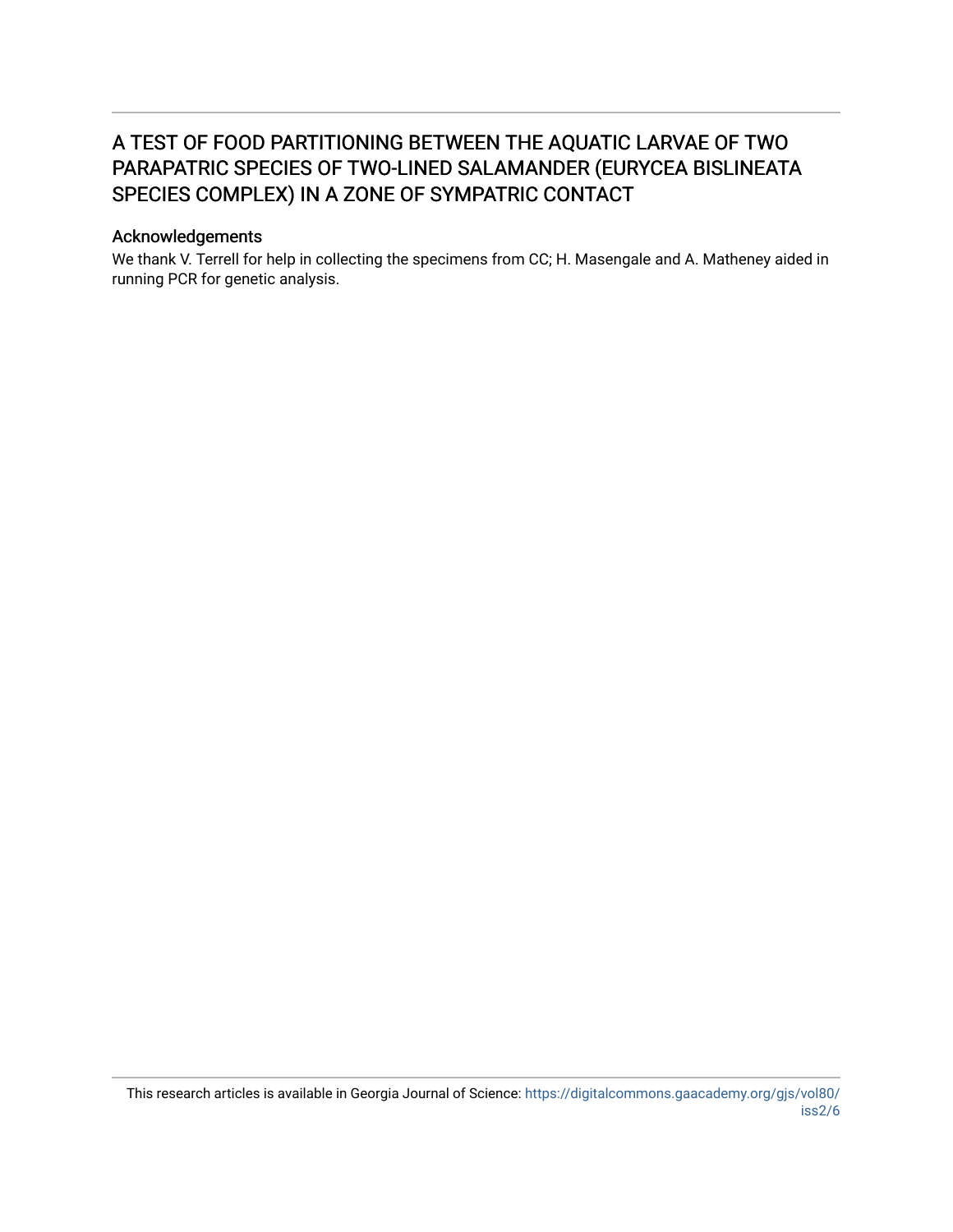# A TEST OF FOOD PARTITIONING BETWEEN THE AQUATIC LARVAE OF TWO PARAPATRIC SPECIES OF TWO-LINED SALAMANDER (EURYCEA BISLINEATA SPECIES COMPLEX) IN A ZONE OF SYMPATRIC CONTACT

#### Acknowledgements

We thank V. Terrell for help in collecting the specimens from CC; H. Masengale and A. Matheney aided in running PCR for genetic analysis.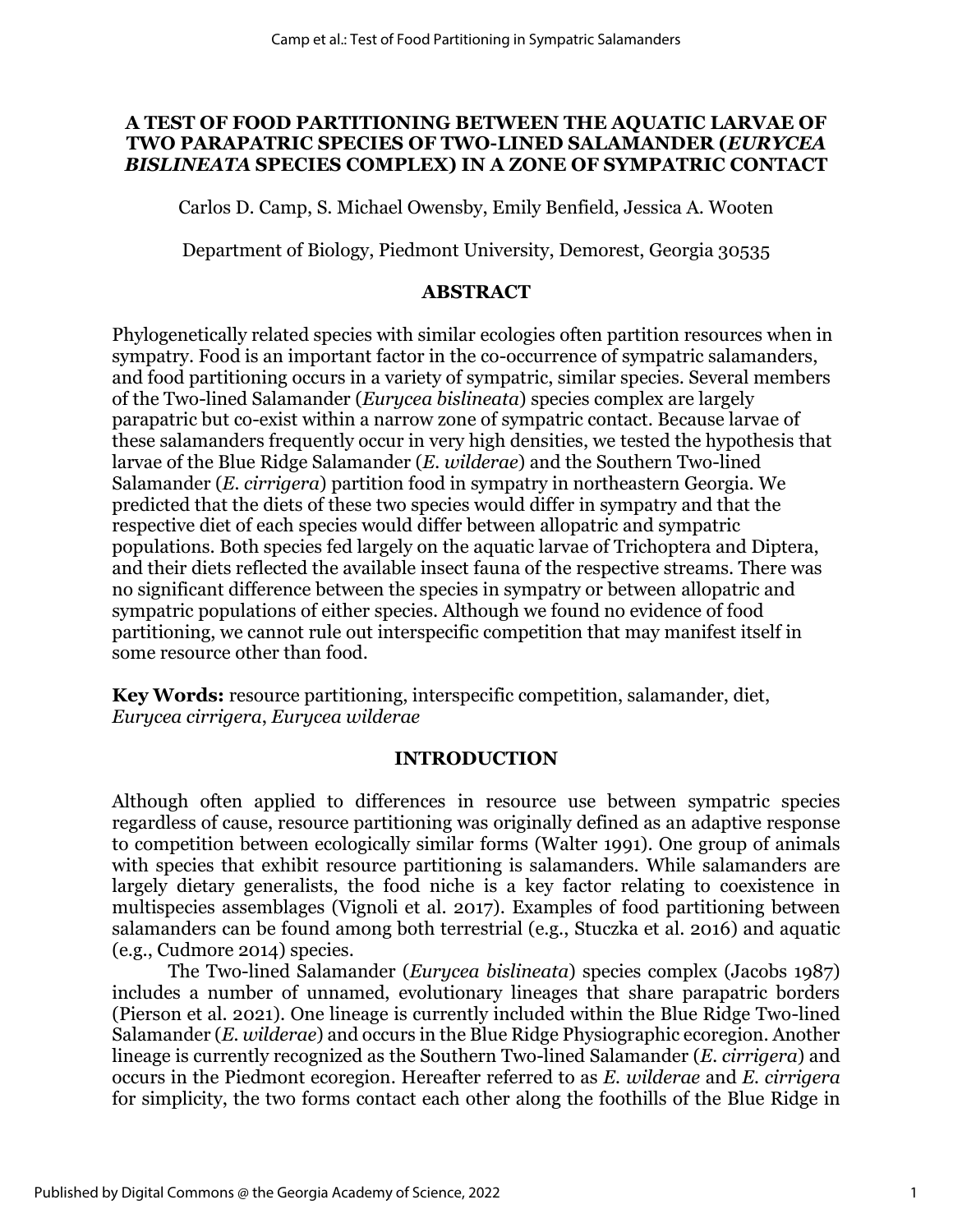### **A TEST OF FOOD PARTITIONING BETWEEN THE AQUATIC LARVAE OF TWO PARAPATRIC SPECIES OF TWO-LINED SALAMANDER (***EURYCEA BISLINEATA* **SPECIES COMPLEX) IN A ZONE OF SYMPATRIC CONTACT**

Carlos D. Camp, S. Michael Owensby, Emily Benfield, Jessica A. Wooten

Department of Biology, Piedmont University, Demorest, Georgia 30535

## **ABSTRACT**

Phylogenetically related species with similar ecologies often partition resources when in sympatry. Food is an important factor in the co-occurrence of sympatric salamanders, and food partitioning occurs in a variety of sympatric, similar species. Several members of the Two-lined Salamander (*Eurycea bislineata*) species complex are largely parapatric but co-exist within a narrow zone of sympatric contact. Because larvae of these salamanders frequently occur in very high densities, we tested the hypothesis that larvae of the Blue Ridge Salamander (*E. wilderae*) and the Southern Two-lined Salamander (*E. cirrigera*) partition food in sympatry in northeastern Georgia. We predicted that the diets of these two species would differ in sympatry and that the respective diet of each species would differ between allopatric and sympatric populations. Both species fed largely on the aquatic larvae of Trichoptera and Diptera, and their diets reflected the available insect fauna of the respective streams. There was no significant difference between the species in sympatry or between allopatric and sympatric populations of either species. Although we found no evidence of food partitioning, we cannot rule out interspecific competition that may manifest itself in some resource other than food.

**Key Words:** resource partitioning, interspecific competition, salamander, diet, *Eurycea cirrigera*, *Eurycea wilderae*

### **INTRODUCTION**

Although often applied to differences in resource use between sympatric species regardless of cause, resource partitioning was originally defined as an adaptive response to competition between ecologically similar forms (Walter 1991). One group of animals with species that exhibit resource partitioning is salamanders. While salamanders are largely dietary generalists, the food niche is a key factor relating to coexistence in multispecies assemblages (Vignoli et al. 2017). Examples of food partitioning between salamanders can be found among both terrestrial (e.g., [Stuczka](https://brill.com/search?f_0=author&q_0=Angela+Stuczka) et al. 2016) and aquatic (e.g., Cudmore 2014) species.

The Two-lined Salamander (*Eurycea bislineata*) species complex (Jacobs 1987) includes a number of unnamed, evolutionary lineages that share parapatric borders (Pierson et al. 2021). One lineage is currently included within the Blue Ridge Two-lined Salamander (*E. wilderae*) and occurs in the Blue Ridge Physiographic ecoregion. Another lineage is currently recognized as the Southern Two-lined Salamander (*E. cirrigera*) and occurs in the Piedmont ecoregion. Hereafter referred to as *E. wilderae* and *E. cirrigera* for simplicity, the two forms contact each other along the foothills of the Blue Ridge in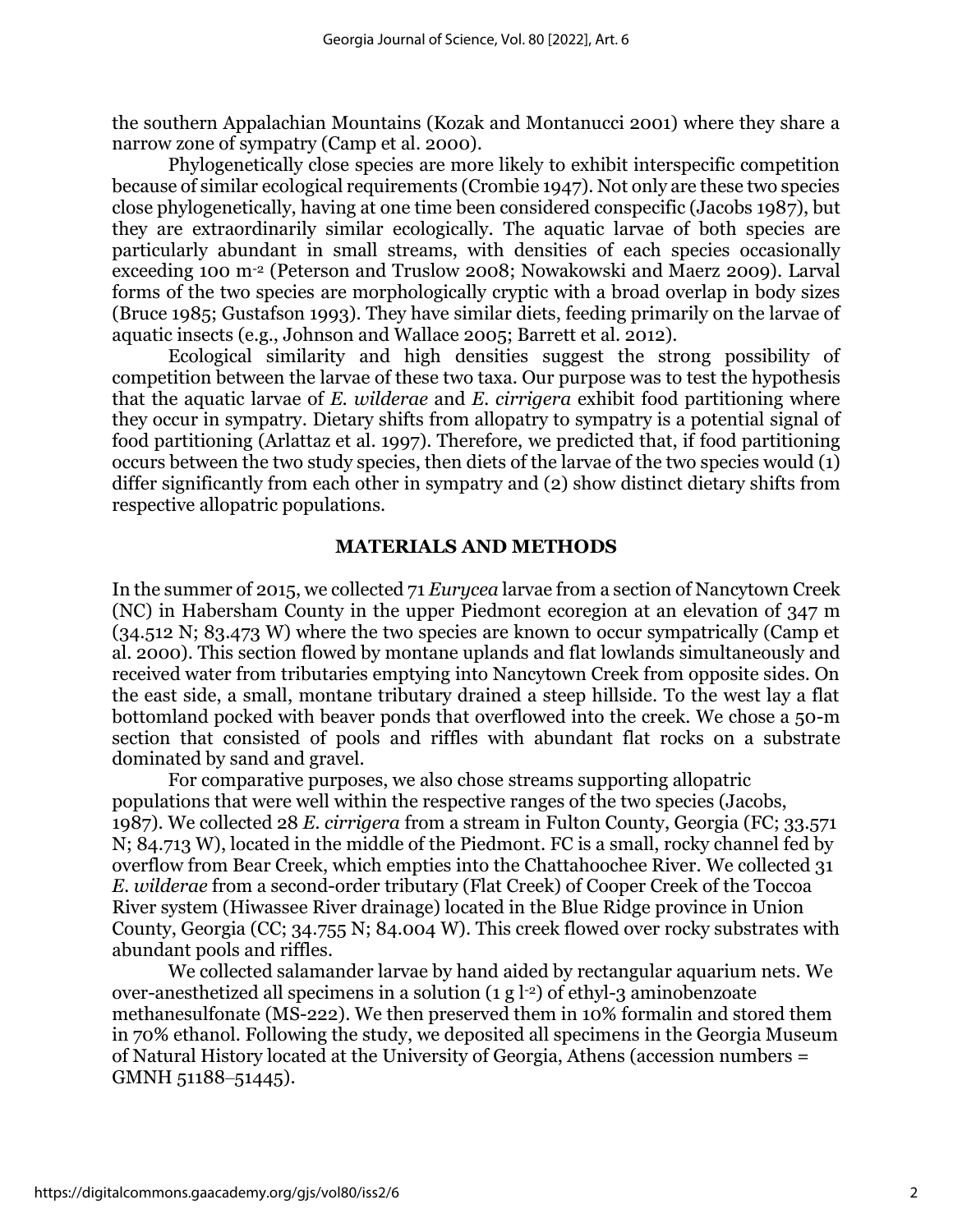the southern Appalachian Mountains (Kozak and Montanucci 2001) where they share a narrow zone of sympatry (Camp et al. 2000).

Phylogenetically close species are more likely to exhibit interspecific competition because of similar ecological requirements (Crombie 1947). Not only are these two species close phylogenetically, having at one time been considered conspecific (Jacobs 1987), but they are extraordinarily similar ecologically. The aquatic larvae of both species are particularly abundant in small streams, with densities of each species occasionally exceeding 100 m-2 (Peterson and Truslow 2008; Nowakowski and Maerz 2009). Larval forms of the two species are morphologically cryptic with a broad overlap in body sizes (Bruce 1985; Gustafson 1993). They have similar diets, feeding primarily on the larvae of aquatic insects (e.g., Johnson and Wallace 2005; Barrett et al. 2012).

Ecological similarity and high densities suggest the strong possibility of competition between the larvae of these two taxa. Our purpose was to test the hypothesis that the aquatic larvae of *E. wilderae* and *E. cirrigera* exhibit food partitioning where they occur in sympatry. Dietary shifts from allopatry to sympatry is a potential signal of food partitioning (Arlattaz et al. 1997). Therefore, we predicted that, if food partitioning occurs between the two study species, then diets of the larvae of the two species would (1) differ significantly from each other in sympatry and (2) show distinct dietary shifts from respective allopatric populations.

#### **MATERIALS AND METHODS**

In the summer of 2015, we collected 71 *Eurycea* larvae from a section of Nancytown Creek (NC) in Habersham County in the upper Piedmont ecoregion at an elevation of 347 m (34.512 N; 83.473 W) where the two species are known to occur sympatrically (Camp et al. 2000). This section flowed by montane uplands and flat lowlands simultaneously and received water from tributaries emptying into Nancytown Creek from opposite sides. On the east side, a small, montane tributary drained a steep hillside. To the west lay a flat bottomland pocked with beaver ponds that overflowed into the creek. We chose a 50-m section that consisted of pools and riffles with abundant flat rocks on a substrate dominated by sand and gravel.

For comparative purposes, we also chose streams supporting allopatric populations that were well within the respective ranges of the two species (Jacobs, 1987). We collected 28 *E. cirrigera* from a stream in Fulton County, Georgia (FC; 33.571 N; 84.713 W), located in the middle of the Piedmont. FC is a small, rocky channel fed by overflow from Bear Creek, which empties into the Chattahoochee River. We collected 31 *E. wilderae* from a second-order tributary (Flat Creek) of Cooper Creek of the Toccoa River system (Hiwassee River drainage) located in the Blue Ridge province in Union County, Georgia (CC; 34.755 N; 84.004 W). This creek flowed over rocky substrates with abundant pools and riffles.

We collected salamander larvae by hand aided by rectangular aquarium nets. We over-anesthetized all specimens in a solution (1 g l-2) of ethyl-3 aminobenzoate methanesulfonate (MS-222). We then preserved them in 10% formalin and stored them in 70% ethanol. Following the study, we deposited all specimens in the Georgia Museum of Natural History located at the University of Georgia, Athens (accession numbers = GMNH 51188-51445).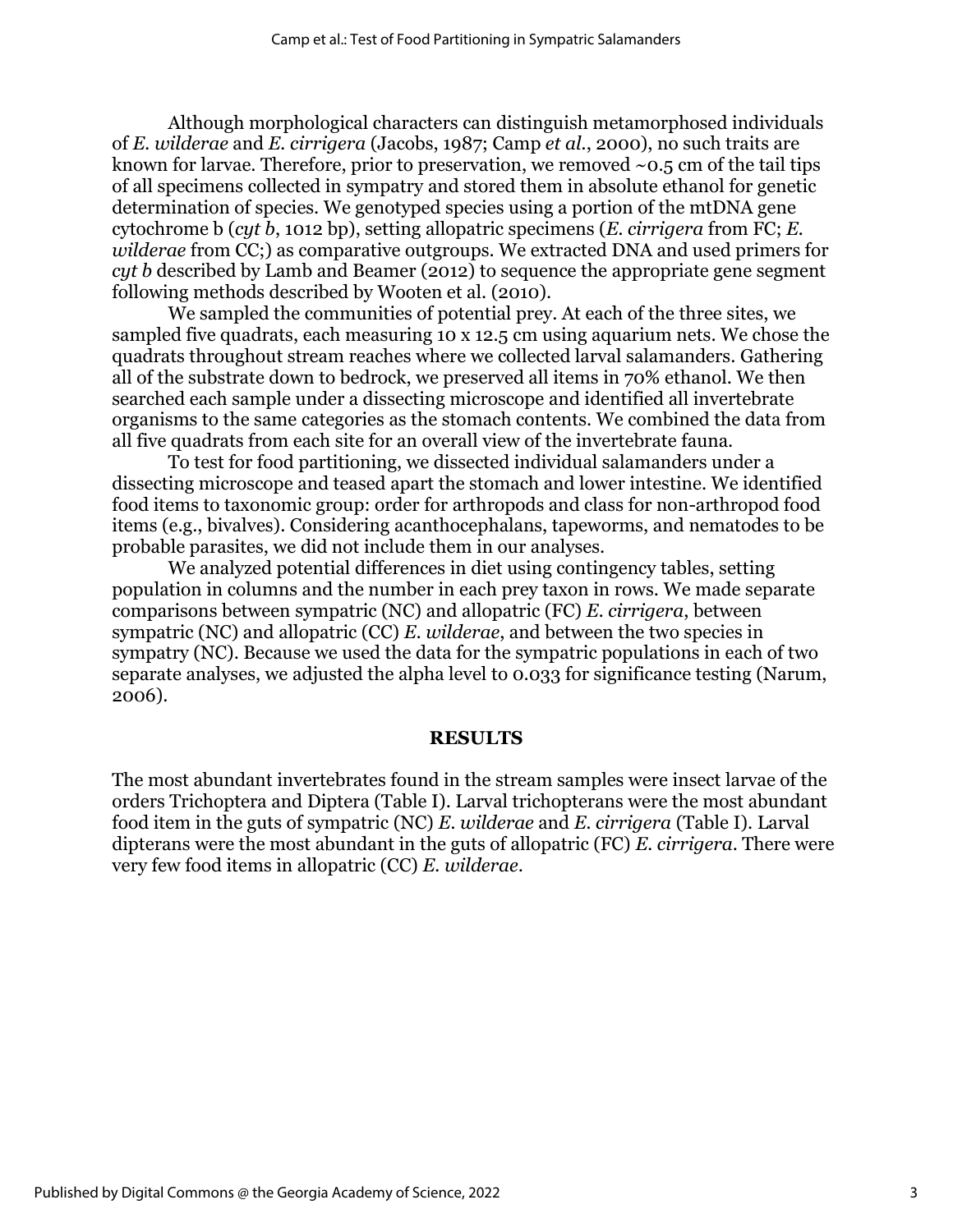Although morphological characters can distinguish metamorphosed individuals of *E. wilderae* and *E. cirrigera* (Jacobs, 1987; Camp *et al.*, 2000), no such traits are known for larvae. Therefore, prior to preservation, we removed  $\sim 0.5$  cm of the tail tips of all specimens collected in sympatry and stored them in absolute ethanol for genetic determination of species. We genotyped species using a portion of the mtDNA gene cytochrome b (*cyt b*, 1012 bp), setting allopatric specimens (*E. cirrigera* from FC; *E. wilderae* from CC;) as comparative outgroups. We extracted DNA and used primers for *cyt b* described by Lamb and Beamer (2012) to sequence the appropriate gene segment following methods described by Wooten et al. (2010).

We sampled the communities of potential prey. At each of the three sites, we sampled five quadrats, each measuring 10 x 12.5 cm using aquarium nets. We chose the quadrats throughout stream reaches where we collected larval salamanders. Gathering all of the substrate down to bedrock, we preserved all items in 70% ethanol. We then searched each sample under a dissecting microscope and identified all invertebrate organisms to the same categories as the stomach contents. We combined the data from all five quadrats from each site for an overall view of the invertebrate fauna.

To test for food partitioning, we dissected individual salamanders under a dissecting microscope and teased apart the stomach and lower intestine. We identified food items to taxonomic group: order for arthropods and class for non-arthropod food items (e.g., bivalves). Considering acanthocephalans, tapeworms, and nematodes to be probable parasites, we did not include them in our analyses.

We analyzed potential differences in diet using contingency tables, setting population in columns and the number in each prey taxon in rows. We made separate comparisons between sympatric (NC) and allopatric (FC) *E. cirrigera*, between sympatric (NC) and allopatric (CC) *E. wilderae*, and between the two species in sympatry (NC). Because we used the data for the sympatric populations in each of two separate analyses, we adjusted the alpha level to 0.033 for significance testing (Narum, 2006).

### **RESULTS**

The most abundant invertebrates found in the stream samples were insect larvae of the orders Trichoptera and Diptera (Table I). Larval trichopterans were the most abundant food item in the guts of sympatric (NC) *E. wilderae* and *E. cirrigera* (Table I). Larval dipterans were the most abundant in the guts of allopatric (FC) *E. cirrigera*. There were very few food items in allopatric (CC) *E. wilderae*.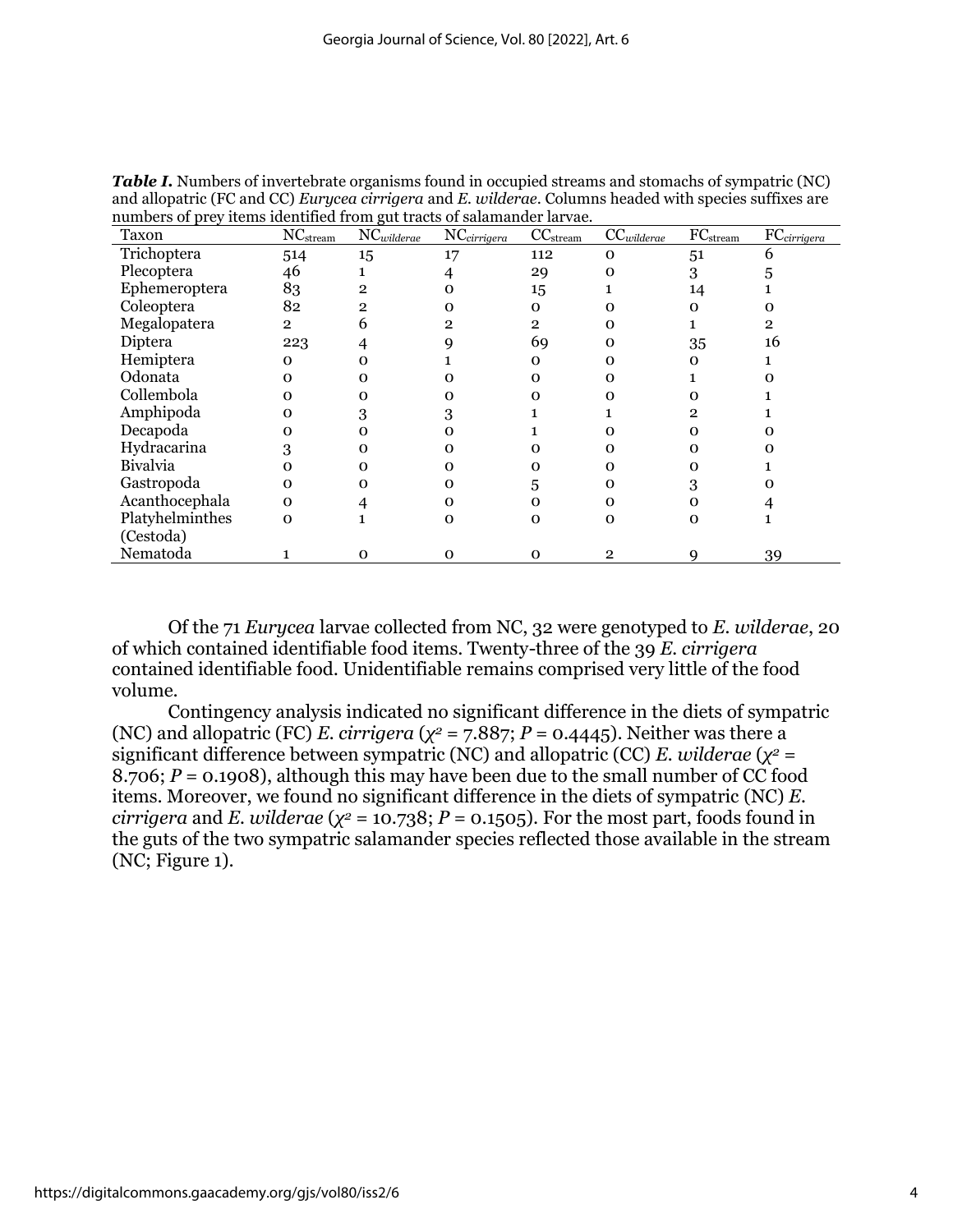| Taxon           | <b>NC</b> stream | NCwilderae | NCcirrigera  | CC <sub>stream</sub> | $CC$ <i>wilderae</i> | FC <sub>stream</sub> | FCcirrigera |
|-----------------|------------------|------------|--------------|----------------------|----------------------|----------------------|-------------|
| Trichoptera     | 514              | 15         | 17           | 112                  | 0                    | 51                   | 6           |
| Plecoptera      | 46               |            |              | 29                   | 0                    | 3                    |             |
| Ephemeroptera   | 83               | 2          | O            | 15                   |                      | 14                   |             |
| Coleoptera      | 82               | 2          | O            | $\Omega$             | o                    | $\Omega$             |             |
| Megalopatera    | $\overline{2}$   | h          | 2            | $\overline{2}$       | o                    |                      | 2           |
| Diptera         | 223              |            |              | 69                   | О                    | 35                   | 16          |
| Hemiptera       | 0                |            |              | 0                    |                      | O                    |             |
| Odonata         | Ω                | o          |              | Ω                    | O                    |                      |             |
| Collembola      | Ω                | o          |              | Ω                    | o                    |                      |             |
| Amphipoda       | Ω                | 3          |              |                      |                      | 2                    |             |
| Decapoda        | o                |            |              |                      | O                    |                      |             |
| Hydracarina     |                  |            | O            |                      | o                    |                      |             |
| <b>Bivalvia</b> | Ω                |            | O            | Ω                    | О                    |                      |             |
| Gastropoda      | 0                |            | O            | 5                    | Ω                    | 3                    |             |
| Acanthocephala  | $\Omega$         |            | O            | 0                    | o                    |                      |             |
| Platyhelminthes | 0                |            | $\mathbf{O}$ | $\Omega$             | о                    | O                    |             |
| (Cestoda)       |                  |            |              |                      |                      |                      |             |
| Nematoda        |                  | റ          | O            | 0                    | 2                    |                      | 39          |

*Table I.* Numbers of invertebrate organisms found in occupied streams and stomachs of sympatric (NC) and allopatric (FC and CC) *Eurycea cirrigera* and *E. wilderae*. Columns headed with species suffixes are numbers of prey items identified from gut tracts of salamander larvae.

Of the 71 *Eurycea* larvae collected from NC, 32 were genotyped to *E. wilderae*, 20 of which contained identifiable food items. Twenty-three of the 39 *E. cirrigera* contained identifiable food. Unidentifiable remains comprised very little of the food volume.

Contingency analysis indicated no significant difference in the diets of sympatric (NC) and allopatric (FC) *E. cirrigera* ( $\chi^2$  = 7.887; *P* = 0.4445). Neither was there a significant difference between sympatric (NC) and allopatric (CC) *E. wilderae* ( $\chi^2$  = 8.706;  $P = 0.1908$ ), although this may have been due to the small number of CC food items. Moreover, we found no significant difference in the diets of sympatric (NC) *E. cirrigera* and *E. wilderae* ( $\chi^2$  = 10.738; *P* = 0.1505). For the most part, foods found in the guts of the two sympatric salamander species reflected those available in the stream (NC; Figure 1).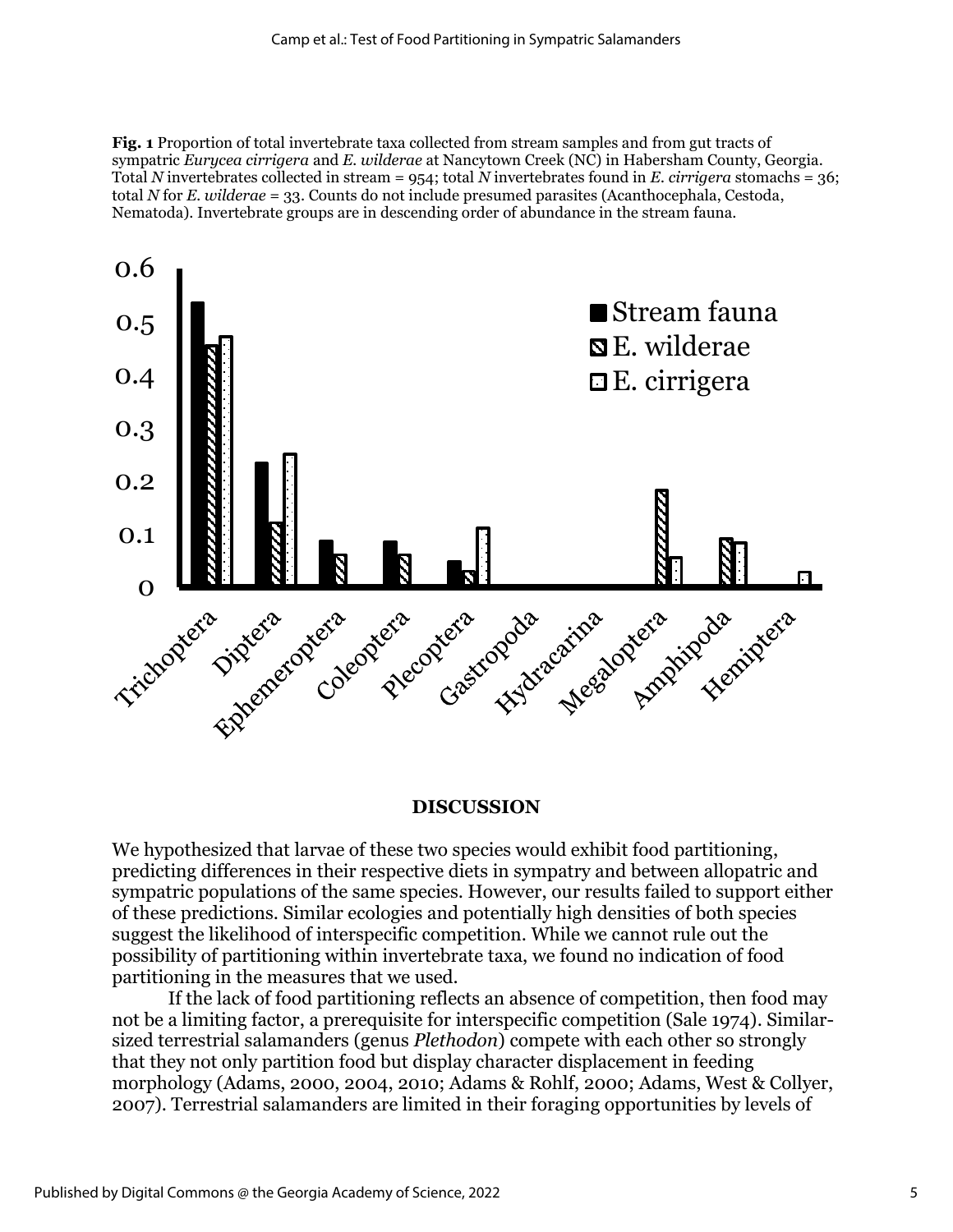**Fig. 1** Proportion of total invertebrate taxa collected from stream samples and from gut tracts of sympatric *Eurycea cirrigera* and *E. wilderae* at Nancytown Creek (NC) in Habersham County, Georgia. Total *N* invertebrates collected in stream = 954; total *N* invertebrates found in *E. cirrigera* stomachs = 36; total *N* for *E. wilderae* = 33. Counts do not include presumed parasites (Acanthocephala, Cestoda, Nematoda). Invertebrate groups are in descending order of abundance in the stream fauna.



#### **DISCUSSION**

We hypothesized that larvae of these two species would exhibit food partitioning, predicting differences in their respective diets in sympatry and between allopatric and sympatric populations of the same species. However, our results failed to support either of these predictions. Similar ecologies and potentially high densities of both species suggest the likelihood of interspecific competition. While we cannot rule out the possibility of partitioning within invertebrate taxa, we found no indication of food partitioning in the measures that we used.

If the lack of food partitioning reflects an absence of competition, then food may not be a limiting factor, a prerequisite for interspecific competition (Sale 1974). Similarsized terrestrial salamanders (genus *Plethodon*) compete with each other so strongly that they not only partition food but display character displacement in feeding morphology (Adams, 2000, 2004, 2010; Adams & Rohlf, 2000; Adams, West & Collyer, 2007). Terrestrial salamanders are limited in their foraging opportunities by levels of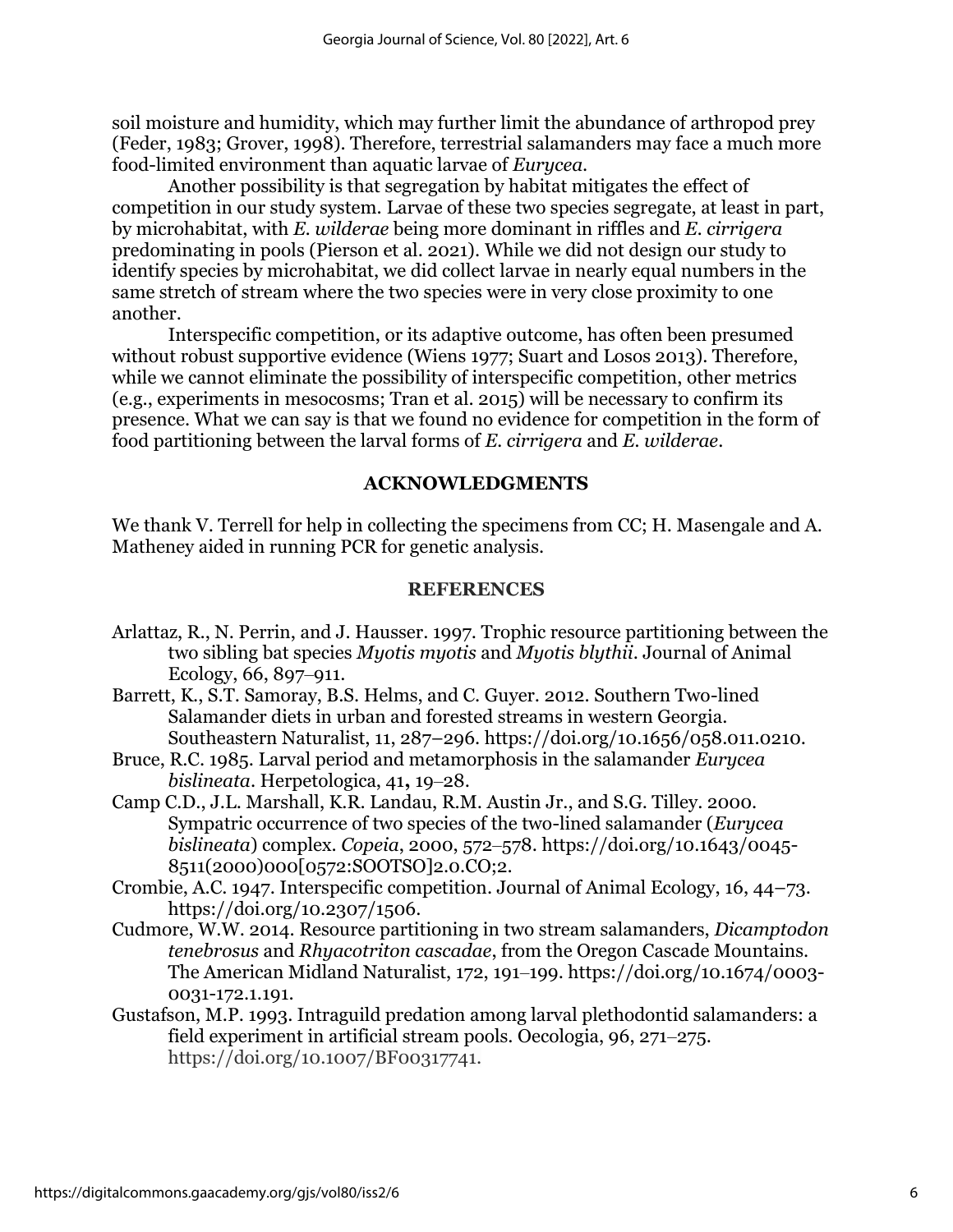soil moisture and humidity, which may further limit the abundance of arthropod prey (Feder, 1983; Grover, 1998). Therefore, terrestrial salamanders may face a much more food-limited environment than aquatic larvae of *Eurycea*.

Another possibility is that segregation by habitat mitigates the effect of competition in our study system. Larvae of these two species segregate, at least in part, by microhabitat, with *E. wilderae* being more dominant in riffles and *E. cirrigera* predominating in pools (Pierson et al. 2021). While we did not design our study to identify species by microhabitat, we did collect larvae in nearly equal numbers in the same stretch of stream where the two species were in very close proximity to one another.

Interspecific competition, or its adaptive outcome, has often been presumed without robust supportive evidence (Wiens 1977; Suart and Losos 2013). Therefore, while we cannot eliminate the possibility of interspecific competition, other metrics (e.g., experiments in mesocosms; Tran et al. 2015) will be necessary to confirm its presence. What we can say is that we found no evidence for competition in the form of food partitioning between the larval forms of *E. cirrigera* and *E. wilderae*.

# **ACKNOWLEDGMENTS**

We thank V. Terrell for help in collecting the specimens from CC; H. Masengale and A. Matheney aided in running PCR for genetic analysis.

## **REFERENCES**

- Arlattaz, R., N. Perrin, and J. Hausser. 1997. Trophic resource partitioning between the two sibling bat species *Myotis myotis* and *Myotis blythii*. Journal of Animal Ecology, 66, 897–911.
- Barrett, K., S.T. Samoray, B.S. Helms, and C. Guyer. 2012. Southern Two-lined Salamander diets in urban and forested streams in western Georgia. Southeastern Naturalist, 11, 287–296. https://doi.org/10.1656/058.011.0210.
- Bruce, R.C. 1985. Larval period and metamorphosis in the salamander *Eurycea bislineata*. Herpetologica, 41**,** 19‒28.
- Camp C.D., J.L. Marshall, K.R. Landau, R.M. Austin Jr., and S.G. Tilley. 2000. Sympatric occurrence of two species of the two-lined salamander (*Eurycea bislineata*) complex. *Copeia*, 2000, 572‒578. https://doi.org/10.1643/0045- 8511(2000)000[0572:SOOTSO]2.0.CO;2.
- Crombie, A.C. 1947. Interspecific competition. Journal of Animal Ecology, 16, 44–73. https://doi.org/10.2307/1506.
- Cudmore, W.W. 2014. Resource partitioning in two stream salamanders, *Dicamptodon tenebrosus* and *Rhyacotriton cascadae*, from the Oregon Cascade Mountains. The American Midland Naturalist, 172, 191–199. https://doi.org/10.1674/0003-0031-172.1.191.
- Gustafson, M.P. 1993. Intraguild predation among larval plethodontid salamanders: a field experiment in artificial stream pools. Oecologia, 96, 271–275. https://doi.org/10.1007/BF00317741.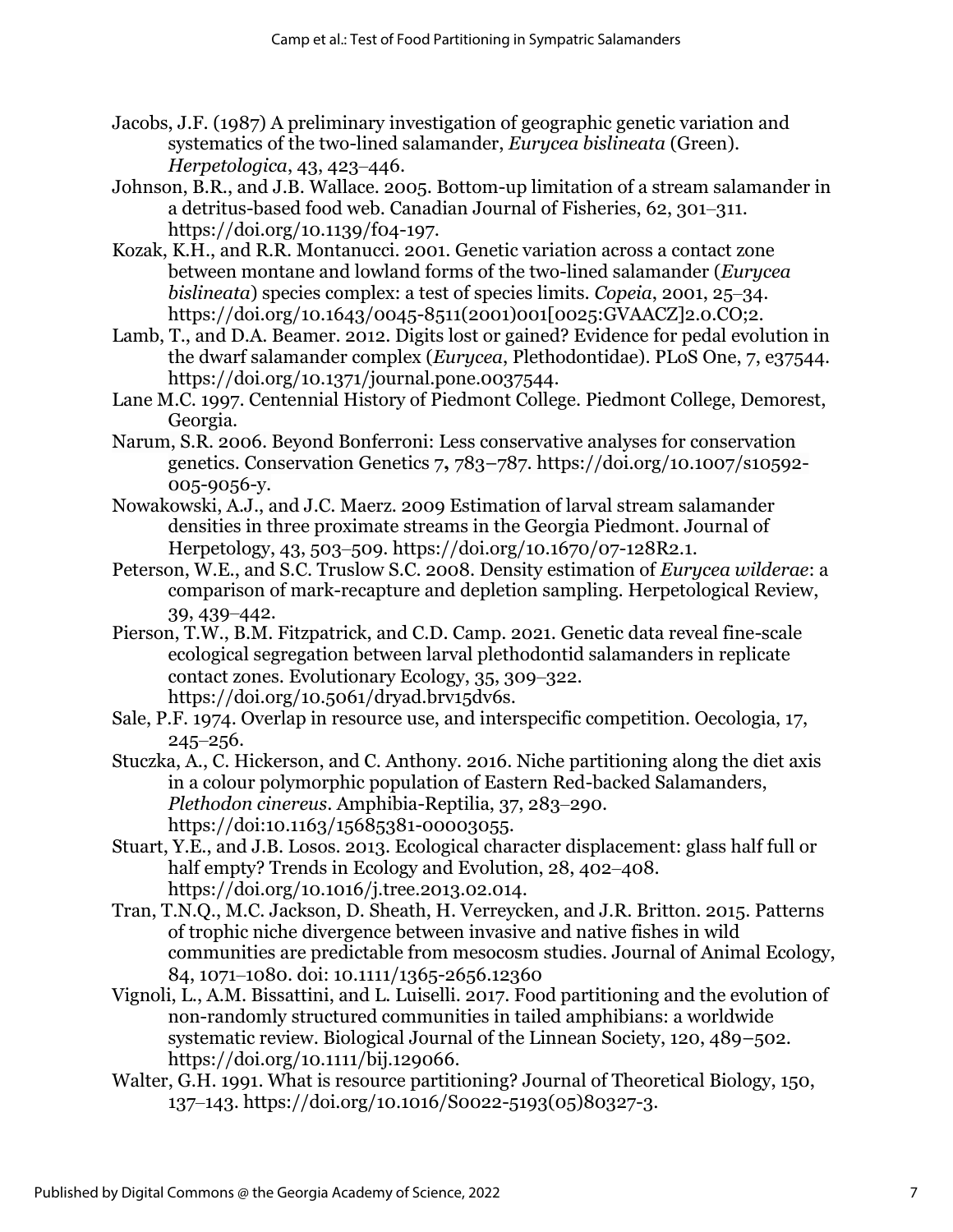- Jacobs, J.F. (1987) A preliminary investigation of geographic genetic variation and systematics of the two-lined salamander, *Eurycea bislineata* (Green). *Herpetologica*, 43, 423‒446.
- Johnson, B.R., and J.B. Wallace. 2005. Bottom-up limitation of a stream salamander in a detritus-based food web. Canadian Journal of Fisheries, 62, 301-311. https://doi.org/10.1139/f04-197.
- Kozak, K.H., and R.R. Montanucci. 2001. Genetic variation across a contact zone between montane and lowland forms of the two-lined salamander (*Eurycea bislineata*) species complex: a test of species limits. *Copeia*, 2001, 25–34. https://doi.org/10.1643/0045-8511(2001)001[0025:GVAACZ]2.0.CO;2.
- Lamb, T., and D.A. Beamer. 2012. Digits lost or gained? Evidence for pedal evolution in the dwarf salamander complex (*Eurycea*, Plethodontidae). PLoS One, 7, e37544. https://doi.org/10.1371/journal.pone.0037544.
- Lane M.C. 1997. Centennial History of Piedmont College. Piedmont College, Demorest, Georgia.
- Narum, S.R. 2006. Beyond Bonferroni: Less conservative analyses for conservation genetics. Conservation Genetics 7**,** 783–787. https://doi.org/10.1007/s10592- 005-9056-y.
- Nowakowski, A.J., and J.C. Maerz. 2009 Estimation of larval stream salamander densities in three proximate streams in the Georgia Piedmont. Journal of Herpetology, 43, 503‒509. https://doi.org/10.1670/07-128R2.1.
- Peterson, W.E., and S.C. Truslow S.C. 2008. Density estimation of *Eurycea wilderae*: a comparison of mark-recapture and depletion sampling. Herpetological Review, 39, 439‒442.
- Pierson, T.W., B.M. Fitzpatrick, and C.D. Camp. 2021. Genetic data reveal fine-scale ecological segregation between larval plethodontid salamanders in replicate contact zones. Evolutionary Ecology, 35, 309‒322. https://doi.org/10.5061/dryad.brv15dv6s.
- Sale, P.F. 1974. Overlap in resource use, and interspecific competition. Oecologia, 17,  $245 - 256.$
- [Stuczka,](https://brill.com/search?f_0=author&q_0=Angela+Stuczka) A., [C. Hickerson,](https://brill.com/search?f_0=author&q_0=Cari-Ann+Hickerson) and [C. Anthony.](https://brill.com/search?f_0=author&q_0=Carl+Anthony) 2016. Niche partitioning along the diet axis in a colour polymorphic population of Eastern Red-backed Salamanders, *Plethodon cinereus*. Amphibia-Reptilia, 37, 283‒290. https://doi:10.1163/15685381-00003055.
- Stuart, Y.E., and J.B. Losos. 2013. Ecological character displacement: glass half full or half empty? Trends in Ecology and Evolution, 28, 402–408. https://doi.org/10.1016/j.tree.2013.02.014.
- Tran, T.N.Q., M.C. Jackson, D. Sheath, H. Verreycken, and J.R. Britton. 2015. Patterns of trophic niche divergence between invasive and native fishes in wild communities are predictable from mesocosm studies. Journal of Animal Ecology, 84, 1071‒1080. doi: 10.1111/1365-2656.12360
- Vignoli, L., A.M. Bissattini, and L. Luiselli. 2017. Food partitioning and the evolution of non-randomly structured communities in tailed amphibians: a worldwide systematic review. Biological Journal of the Linnean Society, 120, 489–502. https://doi.org/10.1111/bij.129066.
- Walter, G.H. 1991. What is resource partitioning? Journal of Theoretical Biology, 150, 137‒143. https://doi.org/10.1016/S0022-5193(05)80327-3.